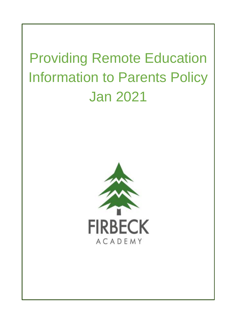# Providing Remote Education Information to Parents Policy Jan 2021

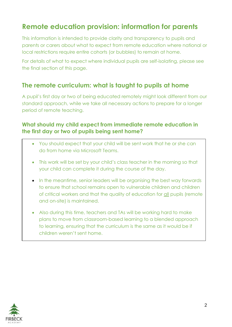# **Remote education provision: information for parents**

This information is intended to provide clarity and transparency to pupils and parents or carers about what to expect from remote education where national or local restrictions require entire cohorts (or bubbles) to remain at home.

For details of what to expect where individual pupils are self-isolating, please see the final section of this page.

# **The remote curriculum: what is taught to pupils at home**

A pupil's first day or two of being educated remotely might look different from our standard approach, while we take all necessary actions to prepare for a longer period of remote teaching.

## **What should my child expect from immediate remote education in the first day or two of pupils being sent home?**

- You should expect that your child will be sent work that he or she can do from home via Microsoft Teams.
- This work will be set by your child's class teacher in the morning so that your child can complete it during the course of the day.
- In the meantime, senior leaders will be organising the best way forwards to ensure that school remains open to vulnerable children and children of critical workers and that the quality of education for all pupils (remote and on-site) is maintained.
- Also during this time, teachers and TAs will be working hard to make plans to move from classroom-based learning to a blended approach to learning, ensuring that the curriculum is the same as it would be if children weren't sent home.

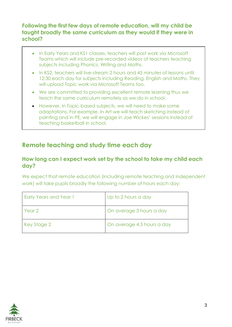## **Following the first few days of remote education, will my child be taught broadly the same curriculum as they would if they were in school?**

- In Early Years and KS1 classes, teachers will post work via Microsoft Teams which will include pre-recorded videos of teachers teaching subjects including Phonics, Writing and Maths.
- In KS2, teachers will live-stream 2 hours and 45 minutes of lessons until 12:30 each day for subjects including Reading, English and Maths. They will upload Topic work via Microsoft Teams too.
- We are committed to providing excellent remote learning thus we teach the same curriculum remotely as we do in school.
- However, in Topic-based subjects, we will need to make some adaptations. For example, in Art we will teach sketching instead of painting and in PE, we will engage in Joe Wickes' sessions instead of teaching basketball in school.

# **Remote teaching and study time each day**

#### **How long can I expect work set by the school to take my child each day?**

We expect that remote education (including remote teaching and independent work) will take pupils broadly the following number of hours each day:

| <b>Early Years and Year 1</b> | Up to 2 hours a day        |
|-------------------------------|----------------------------|
| Year 2                        | On average 3 hours a day   |
| Key Stage 2                   | On average 4.5 hours a day |

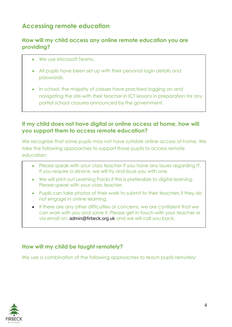# **Accessing remote education**

#### **How will my child access any online remote education you are providing?**

- We use Microsoft Teams.
- All pupils have been set up with their personal login details and passwords.
- In school, the majority of classes have practised logging on and navigating the site with their teacher in ICT lessons in preparation for any partial school closures announced by the government.

#### **If my child does not have digital or online access at home, how will you support them to access remote education?**

We recognise that some pupils may not have suitable online access at home. We take the following approaches to support those pupils to access remote education:

- Please speak with your class teacher if you have any issues regarding IT. If you require a device, we will try and issue you with one.
- We will print out Learning Packs if this is preferable to digital learning. Please speak with your class teacher.
- Pupils can take photos of their work to submit to their teachers if they do not engage in online learning.
- If there are any other difficulties or concerns, we are confident that we can work with you and solve it. Please get in touch with your teacher or via email on: [admin@firbeck.org.uk](mailto:admin@firbeck.org.uk) and we will call you back.

## **How will my child be taught remotely?**

We use a combination of the following approaches to teach pupils remotely:

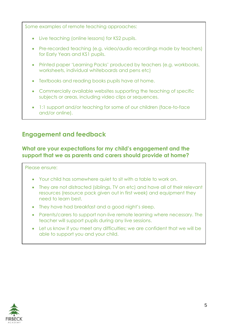Some examples of remote teaching approaches:

- Live teaching (online lessons) for KS2 pupils.
- Pre-recorded teaching (e.g. video/audio recordings made by teachers) for Early Years and KS1 pupils.
- Printed paper 'Learning Packs' produced by teachers (e.g. workbooks, worksheets, individual whiteboards and pens etc)
- Textbooks and reading books pupils have at home.
- Commercially available websites supporting the teaching of specific subjects or areas, including video clips or sequences.
- 1:1 support and/or teaching for some of our children (face-to-face and/or online).

# **Engagement and feedback**

## **What are your expectations for my child's engagement and the support that we as parents and carers should provide at home?**

#### Please ensure:

- Your child has somewhere quiet to sit with a table to work on.
- They are not distracted (siblings, TV on etc) and have all of their relevant resources (resource pack given out in first week) and equipment they need to learn best.
- They have had breakfast and a good night's sleep.
- Parents/carers to support non-live remote learning where necessary. The teacher will support pupils during any live sessions.
- Let us know if you meet any difficulties; we are confident that we will be able to support you and your child.

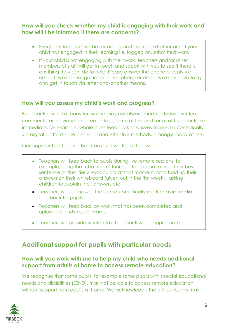## **How will you check whether my child is engaging with their work and how will I be informed if there are concerns?**

- Every day teachers will be recording and tracking whether or not your child has engaged in their learning i.e. logged on, submitted work.
- If your child is not engaging with their work, teachers and/or other members of staff will get in touch and speak with you to see if there is anything they can do to help. Please answer the phone or reply via email. If we cannot get in touch via phone or email, we may have to try and get in touch via letter and/or other means.

## **How will you assess my child's work and progress?**

Feedback can take many forms and may not always mean extensive written comments for individual children. In fact, some of the best forms of feedback are immediate, for example, whole-class feedback or quizzes marked automatically via digital platforms are also valid and effective methods, amongst many others.

Our approach to feeding back on pupil work is as follows:

- Teachers will feed back to pupils during live remote sessions, for example, using the 'chat room' function to ask chn to type their best sentence or their tier 2 vocabulary at that moment, or to hold up their answers on their whiteboard (given out in the first week), asking children to explain their answers etc.
- Teachers will use quizzes that are automatically marked as immediate feedback for pupils.
- Teachers will feed back on work that has been completed and uploaded to Microsoft Teams.
- Teachers will provide whole-class feedback when appropriate.

# **Additional support for pupils with particular needs**

#### **How will you work with me to help my child who needs additional support from adults at home to access remote education?**

We recognise that some pupils, for example some pupils with special educational needs and disabilities (SEND), may not be able to access remote education without support from adults at home. We acknowledge the difficulties this may